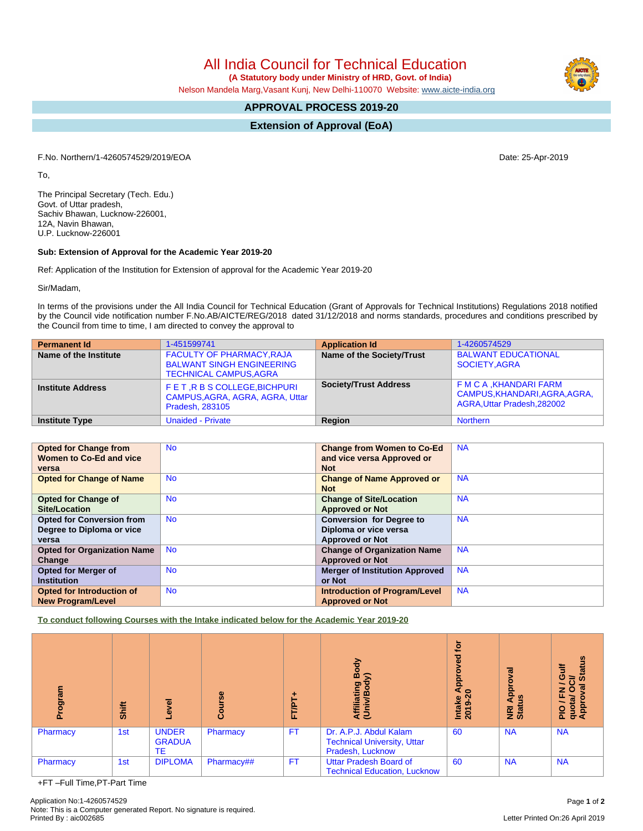All India Council for Technical Education  **(A Statutory body under Ministry of HRD, Govt. of India)**

Nelson Mandela Marg,Vasant Kunj, New Delhi-110070 Website: [www.aicte-india.org](http://www.aicte-india.org)

# **APPROVAL PROCESS 2019-20**

**Extension of Approval (EoA)**

F.No. Northern/1-4260574529/2019/EOA Date: 25-Apr-2019

To,

The Principal Secretary (Tech. Edu.) Govt. of Uttar pradesh, Sachiv Bhawan, Lucknow-226001, 12A, Navin Bhawan, U.P. Lucknow-226001

## **Sub: Extension of Approval for the Academic Year 2019-20**

Ref: Application of the Institution for Extension of approval for the Academic Year 2019-20

Sir/Madam,

In terms of the provisions under the All India Council for Technical Education (Grant of Approvals for Technical Institutions) Regulations 2018 notified by the Council vide notification number F.No.AB/AICTE/REG/2018 dated 31/12/2018 and norms standards, procedures and conditions prescribed by the Council from time to time, I am directed to convey the approval to

| <b>Permanent Id</b>      | 1-451599741                                                                                           | <b>Application Id</b>        | 1-4260574529                                                                            |
|--------------------------|-------------------------------------------------------------------------------------------------------|------------------------------|-----------------------------------------------------------------------------------------|
| Name of the Institute    | <b>FACULTY OF PHARMACY, RAJA</b><br><b>BALWANT SINGH ENGINEERING</b><br><b>TECHNICAL CAMPUS, AGRA</b> | Name of the Society/Trust    | <b>BALWANT EDUCATIONAL</b><br>SOCIETY.AGRA                                              |
| <b>Institute Address</b> | FET, R B S COLLEGE, BICHPURI<br>CAMPUS, AGRA, AGRA, AGRA, Uttar<br><b>Pradesh, 283105</b>             | <b>Society/Trust Address</b> | F M C A , KHANDARI FARM<br>CAMPUS, KHANDARI, AGRA, AGRA,<br>AGRA, Uttar Pradesh, 282002 |
| <b>Institute Type</b>    | <b>Unaided - Private</b>                                                                              | Region                       | <b>Northern</b>                                                                         |

| <b>Opted for Change from</b>       | <b>No</b> | <b>Change from Women to Co-Ed</b>     | <b>NA</b> |
|------------------------------------|-----------|---------------------------------------|-----------|
| Women to Co-Ed and vice            |           | and vice versa Approved or            |           |
| versa                              |           | <b>Not</b>                            |           |
| <b>Opted for Change of Name</b>    | <b>No</b> | <b>Change of Name Approved or</b>     | <b>NA</b> |
|                                    |           | <b>Not</b>                            |           |
| <b>Opted for Change of</b>         | <b>No</b> | <b>Change of Site/Location</b>        | <b>NA</b> |
| Site/Location                      |           | <b>Approved or Not</b>                |           |
| <b>Opted for Conversion from</b>   | <b>No</b> | <b>Conversion for Degree to</b>       | <b>NA</b> |
| Degree to Diploma or vice          |           | Diploma or vice versa                 |           |
| versa                              |           | <b>Approved or Not</b>                |           |
| <b>Opted for Organization Name</b> | <b>No</b> | <b>Change of Organization Name</b>    | <b>NA</b> |
| Change                             |           | <b>Approved or Not</b>                |           |
| <b>Opted for Merger of</b>         | <b>No</b> | <b>Merger of Institution Approved</b> | <b>NA</b> |
| <b>Institution</b>                 |           | or Not                                |           |
| <b>Opted for Introduction of</b>   | <b>No</b> | <b>Introduction of Program/Level</b>  | <b>NA</b> |
| <b>New Program/Level</b>           |           | <b>Approved or Not</b>                |           |

**To conduct following Courses with the Intake indicated below for the Academic Year 2019-20**

| rogram<br>ō | <b>Shift</b> | g<br>ڡ                                     | Course     | FT/PT.    | Body<br>⋦<br>Affiliating<br>(Univ/Bod <sup>)</sup>                               | ē<br>ढ़<br>a<br>Apo<br>Intake<br>2019-20 | Approval<br><b>E</b> at | <b>Status</b><br>ပ<br>దె<br>ത<br>z<br>O<br>ш<br>PIO / F<br>quota/<br>Approv |
|-------------|--------------|--------------------------------------------|------------|-----------|----------------------------------------------------------------------------------|------------------------------------------|-------------------------|-----------------------------------------------------------------------------|
| Pharmacy    | 1st          | <b>UNDER</b><br><b>GRADUA</b><br><b>TE</b> | Pharmacy   | <b>FT</b> | Dr. A.P.J. Abdul Kalam<br><b>Technical University, Uttar</b><br>Pradesh, Lucknow | 60                                       | <b>NA</b>               | <b>NA</b>                                                                   |
| Pharmacy    | 1st          | <b>DIPLOMA</b>                             | Pharmacy## | <b>FT</b> | <b>Uttar Pradesh Board of</b><br><b>Technical Education, Lucknow</b>             | 60                                       | <b>NA</b>               | <b>NA</b>                                                                   |

+FT –Full Time,PT-Part Time